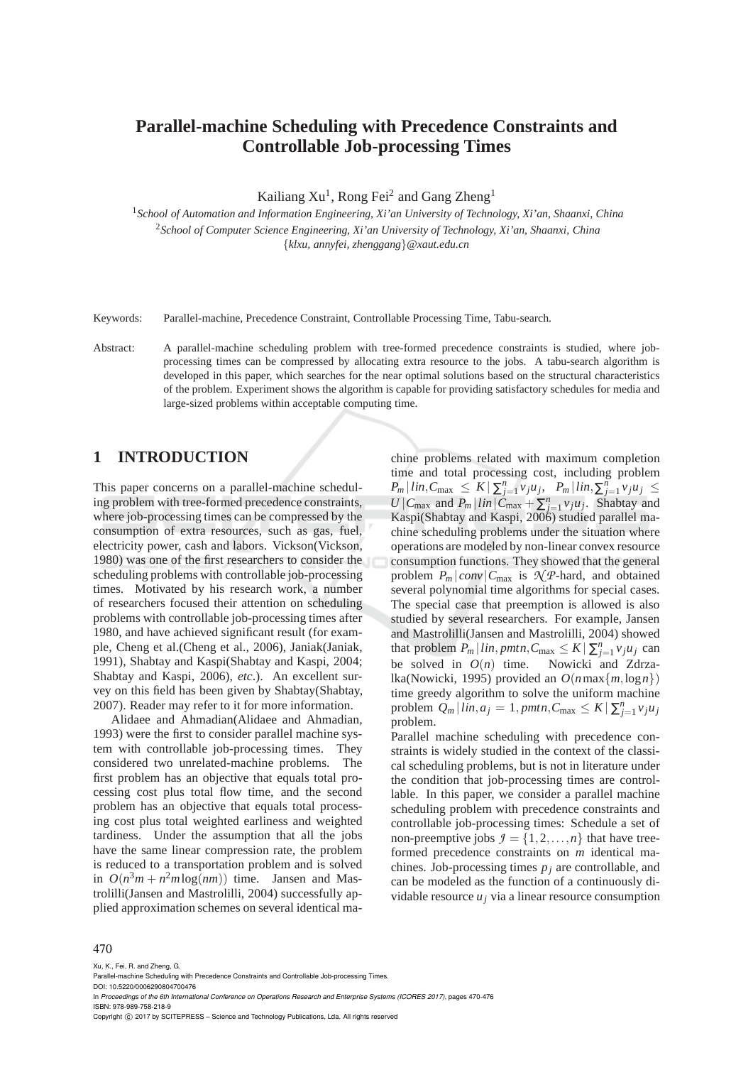# **Parallel-machine Scheduling with Precedence Constraints and Controllable Job-processing Times**

Kailiang  $Xu<sup>1</sup>$ , Rong Fei<sup>2</sup> and Gang Zheng<sup>1</sup>

<sup>1</sup>*School of Automation and Information Engineering, Xi'an University of Technology, Xi'an, Shaanxi, China* <sup>2</sup>*School of Computer Science Engineering, Xi'an University of Technology, Xi'an, Shaanxi, China* {*klxu, annyfei, zhenggang*}*@xaut.edu.cn*

Keywords: Parallel-machine, Precedence Constraint, Controllable Processing Time, Tabu-search.

Abstract: A parallel-machine scheduling problem with tree-formed precedence constraints is studied, where jobprocessing times can be compressed by allocating extra resource to the jobs. A tabu-search algorithm is developed in this paper, which searches for the near optimal solutions based on the structural characteristics of the problem. Experiment shows the algorithm is capable for providing satisfactory schedules for media and large-sized problems within acceptable computing time.

# **1 INTRODUCTION**

This paper concerns on a parallel-machine scheduling problem with tree-formed precedence constraints, where job-processing times can be compressed by the consumption of extra resources, such as gas, fuel, electricity power, cash and labors. Vickson(Vickson, 1980) was one of the first researchers to consider the scheduling problems with controllable job-processing times. Motivated by his research work, a number of researchers focused their attention on scheduling problems with controllable job-processing times after 1980, and have achieved significant result (for example, Cheng et al.(Cheng et al., 2006), Janiak(Janiak, 1991), Shabtay and Kaspi(Shabtay and Kaspi, 2004; Shabtay and Kaspi, 2006), *etc*.). An excellent survey on this field has been given by Shabtay(Shabtay, 2007). Reader may refer to it for more information.

Alidaee and Ahmadian(Alidaee and Ahmadian, 1993) were the first to consider parallel machine system with controllable job-processing times. They considered two unrelated-machine problems. The first problem has an objective that equals total processing cost plus total flow time, and the second problem has an objective that equals total processing cost plus total weighted earliness and weighted tardiness. Under the assumption that all the jobs have the same linear compression rate, the problem is reduced to a transportation problem and is solved in  $O(n^3m + n^2m\log(nm))$  time. Jansen and Mastrolilli(Jansen and Mastrolilli, 2004) successfully applied approximation schemes on several identical ma-

chine problems related with maximum completion time and total processing cost, including problem  $P_m | lin, C_{\text{max}} \leq K | \sum_{j=1}^n v_j u_j, P_m | lin, \sum_{j=1}^n v_j u_j \leq$  $U \mid C_{\text{max}}$  and  $P_m \mid lin \mid C_{\text{max}} + \sum_{j=1}^n v_j u_j$ . Shabtay and Kaspi(Shabtay and Kaspi, 2006) studied parallel machine scheduling problems under the situation where operations are modeled by non-linear convex resource consumption functions. They showed that the general problem  $P_m | conv | C_{\text{max}}$  is  $\mathcal{N}$ *P*-hard, and obtained several polynomial time algorithms for special cases. The special case that preemption is allowed is also studied by several researchers. For example, Jansen and Mastrolilli(Jansen and Mastrolilli, 2004) showed that problem  $P_m | lin, pmtn, C_{\text{max}} \leq K | \sum_{j=1}^n v_j u_j$  can be solved in  $O(n)$  time. Nowicki and Zdrzalka(Nowicki, 1995) provided an  $O(n \max\{m, \log n\})$ time greedy algorithm to solve the uniform machine problem  $Q_m | lin, a_j = 1, pmtn, C_{\text{max}} \leq K | \sum_{j=1}^n v_j u_j$ problem.

Parallel machine scheduling with precedence constraints is widely studied in the context of the classical scheduling problems, but is not in literature under the condition that job-processing times are controllable. In this paper, we consider a parallel machine scheduling problem with precedence constraints and controllable job-processing times: Schedule a set of non-preemptive jobs  $\mathcal{I} = \{1, 2, ..., n\}$  that have treeformed precedence constraints on *m* identical machines. Job-processing times *p<sup>j</sup>* are controllable, and can be modeled as the function of a continuously dividable resource  $u_j$  via a linear resource consumption

#### 470

Xu, K., Fei, R. and Zheng, G.

In *Proceedings of the 6th International Conference on Operations Research and Enterprise Systems (ICORES 2017)*, pages 470-476 ISBN: 978-989-758-218-9

Copyright (C) 2017 by SCITEPRESS - Science and Technology Publications, Lda. All rights reserved

Parallel-machine Scheduling with Precedence Constraints and Controllable Job-processing Times.

DOI: 10.5220/0006290804700476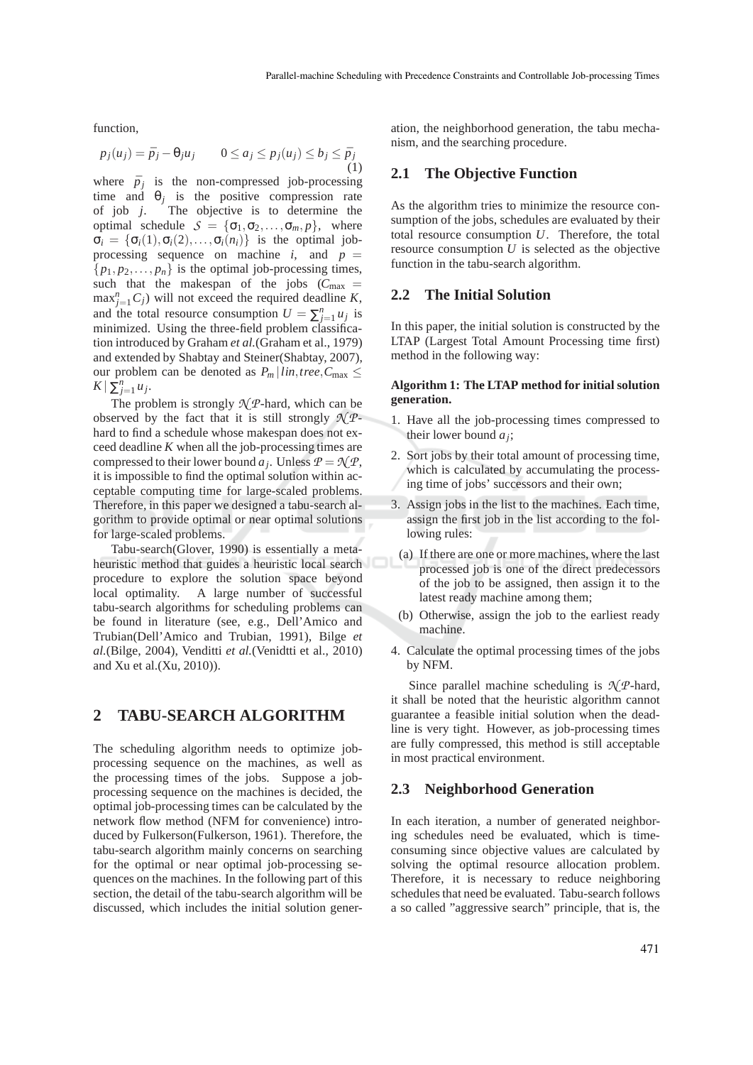function,

$$
p_j(u_j) = \bar{p}_j - \theta_j u_j \qquad 0 \le a_j \le p_j(u_j) \le b_j \le \bar{p}_j \tag{1}
$$

where  $\bar{p}_j$  is the non-compressed job-processing time and  $\theta_j$  is the positive compression rate of job *j*. The objective is to determine the optimal schedule  $S = {\sigma_1, \sigma_2, ..., \sigma_m, p}$ , where  $\sigma_i = {\sigma_i(1), \sigma_i(2), \ldots, \sigma_i(n_i)}$  is the optimal jobprocessing sequence on machine  $i$ , and  $p =$  $\{p_1, p_2, \ldots, p_n\}$  is the optimal job-processing times, such that the makespan of the jobs  $(C_{\text{max}} =$  $\max_{j=1}^{n} C_j$  will not exceed the required deadline *K*, and the total resource consumption  $U = \sum_{j=1}^{n} u_j$  is minimized. Using the three-field problem classification introduced by Graham *et al.*(Graham et al., 1979) and extended by Shabtay and Steiner(Shabtay, 2007), our problem can be denoted as  $P_m \mid lin, tree, C_{\text{max}} \leq$  $K \mid \sum_{j=1}^n u_j.$ 

The problem is strongly  $\mathcal{N}$ *P*-hard, which can be observed by the fact that it is still strongly  $\mathcal{N} \mathcal{P}$ hard to find a schedule whose makespan does not exceed deadline *K* when all the job-processing times are compressed to their lower bound  $a_j$ . Unless  $P = \mathcal{N}P$ , it is impossible to find the optimal solution within acceptable computing time for large-scaled problems. Therefore, in this paper we designed a tabu-search algorithm to provide optimal or near optimal solutions for large-scaled problems.

Tabu-search(Glover, 1990) is essentially a metaheuristic method that guides a heuristic local search procedure to explore the solution space beyond local optimality. A large number of successful tabu-search algorithms for scheduling problems can be found in literature (see, e.g., Dell'Amico and Trubian(Dell'Amico and Trubian, 1991), Bilge *et al.*(Bilge, 2004), Venditti *et al.*(Venidtti et al., 2010) and Xu et al.(Xu, 2010)).

# **2 TABU-SEARCH ALGORITHM**

The scheduling algorithm needs to optimize jobprocessing sequence on the machines, as well as the processing times of the jobs. Suppose a jobprocessing sequence on the machines is decided, the optimal job-processing times can be calculated by the network flow method (NFM for convenience) introduced by Fulkerson(Fulkerson, 1961). Therefore, the tabu-search algorithm mainly concerns on searching for the optimal or near optimal job-processing sequences on the machines. In the following part of this section, the detail of the tabu-search algorithm will be discussed, which includes the initial solution generation, the neighborhood generation, the tabu mechanism, and the searching procedure.

## **2.1 The Objective Function**

As the algorithm tries to minimize the resource consumption of the jobs, schedules are evaluated by their total resource consumption *U*. Therefore, the total resource consumption  $U$  is selected as the objective function in the tabu-search algorithm.

#### **2.2 The Initial Solution**

In this paper, the initial solution is constructed by the LTAP (Largest Total Amount Processing time first) method in the following way:

#### **Algorithm 1: The LTAP method for initial solution generation.**

- 1. Have all the job-processing times compressed to their lower bound *a<sup>j</sup>* ;
- 2. Sort jobs by their total amount of processing time, which is calculated by accumulating the processing time of jobs' successors and their own;
- 3. Assign jobs in the list to the machines. Each time, assign the first job in the list according to the following rules:
- (a) If there are one or more machines, where the last processed job is one of the direct predecessors of the job to be assigned, then assign it to the latest ready machine among them;
- (b) Otherwise, assign the job to the earliest ready machine.
- 4. Calculate the optimal processing times of the jobs by NFM.

Since parallel machine scheduling is  $\mathcal{N}$ *P*-hard, it shall be noted that the heuristic algorithm cannot guarantee a feasible initial solution when the deadline is very tight. However, as job-processing times are fully compressed, this method is still acceptable in most practical environment.

### **2.3 Neighborhood Generation**

In each iteration, a number of generated neighboring schedules need be evaluated, which is timeconsuming since objective values are calculated by solving the optimal resource allocation problem. Therefore, it is necessary to reduce neighboring schedules that need be evaluated. Tabu-search follows a so called "aggressive search" principle, that is, the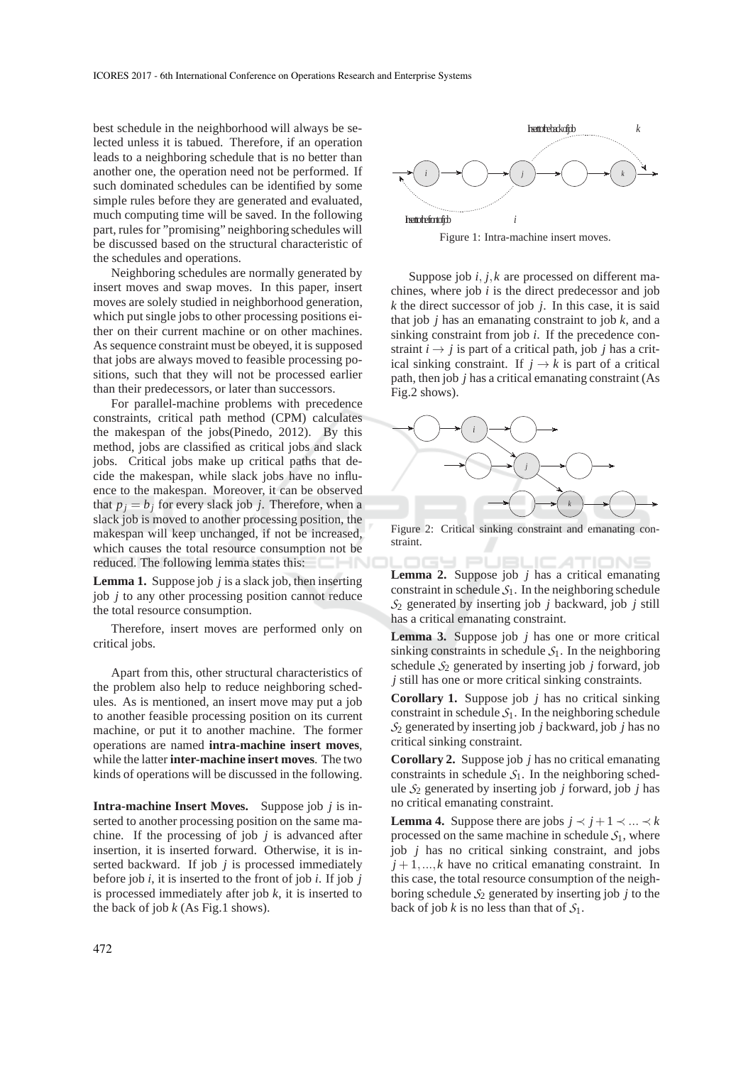best schedule in the neighborhood will always be selected unless it is tabued. Therefore, if an operation leads to a neighboring schedule that is no better than another one, the operation need not be performed. If such dominated schedules can be identified by some simple rules before they are generated and evaluated, much computing time will be saved. In the following part, rules for "promising" neighboring schedules will be discussed based on the structural characteristic of the schedules and operations.

Neighboring schedules are normally generated by insert moves and swap moves. In this paper, insert moves are solely studied in neighborhood generation, which put single jobs to other processing positions either on their current machine or on other machines. As sequence constraint must be obeyed, it is supposed that jobs are always moved to feasible processing positions, such that they will not be processed earlier than their predecessors, or later than successors.

For parallel-machine problems with precedence constraints, critical path method (CPM) calculates the makespan of the jobs(Pinedo, 2012). By this method, jobs are classified as critical jobs and slack jobs. Critical jobs make up critical paths that decide the makespan, while slack jobs have no influence to the makespan. Moreover, it can be observed that  $p_j = b_j$  for every slack job *j*. Therefore, when a slack job is moved to another processing position, the makespan will keep unchanged, if not be increased, which causes the total resource consumption not be reduced. The following lemma states this:

**Lemma 1.** Suppose job *j* is a slack job, then inserting job *j* to any other processing position cannot reduce the total resource consumption.

Therefore, insert moves are performed only on critical jobs.

Apart from this, other structural characteristics of the problem also help to reduce neighboring schedules. As is mentioned, an insert move may put a job to another feasible processing position on its current machine, or put it to another machine. The former operations are named **intra-machine insert moves**, while the latter **inter-machine insert moves**. The two kinds of operations will be discussed in the following.

**Intra-machine Insert Moves.** Suppose job *j* is inserted to another processing position on the same machine. If the processing of job  $j$  is advanced after insertion, it is inserted forward. Otherwise, it is inserted backward. If job *j* is processed immediately before job *i*, it is inserted to the front of job *i*. If job *j* is processed immediately after job *k*, it is inserted to the back of job  $k$  (As Fig.1 shows).



Insert to the front of job  $i$ Figure 1: Intra-machine insert moves.

Suppose job *i*, *j*,*k* are processed on different machines, where job *i* is the direct predecessor and job *k* the direct successor of job *j*. In this case, it is said that job *j* has an emanating constraint to job *k*, and a sinking constraint from job *i*. If the precedence constraint  $i \rightarrow j$  is part of a critical path, job *j* has a critical sinking constraint. If  $j \rightarrow k$  is part of a critical path, then job *j* has a critical emanating constraint (As Fig.2 shows).



Figure 2: Critical sinking constraint and emanating constraint.

**Lemma 2.** Suppose job *j* has a critical emanating IGY PUBL constraint in schedule  $S_1$ . In the neighboring schedule *S*<sup>2</sup> generated by inserting job *j* backward, job *j* still has a critical emanating constraint.

**Lemma 3.** Suppose job *j* has one or more critical sinking constraints in schedule  $S<sub>1</sub>$ . In the neighboring schedule  $S_2$  generated by inserting job  $j$  forward, job *j* still has one or more critical sinking constraints.

**Corollary 1.** Suppose job *j* has no critical sinking constraint in schedule  $S_1$ . In the neighboring schedule *S*<sup>2</sup> generated by inserting job *j* backward, job *j* has no critical sinking constraint.

**Corollary 2.** Suppose job *j* has no critical emanating constraints in schedule  $S<sub>1</sub>$ . In the neighboring schedule *S*<sup>2</sup> generated by inserting job *j* forward, job *j* has no critical emanating constraint.

**Lemma 4.** Suppose there are jobs  $j \prec j+1 \prec ... \prec k$ processed on the same machine in schedule  $S_1$ , where job *j* has no critical sinking constraint, and jobs  $j+1,...,k$  have no critical emanating constraint. In this case, the total resource consumption of the neighboring schedule  $S_2$  generated by inserting job *j* to the back of job *k* is no less than that of *S*1.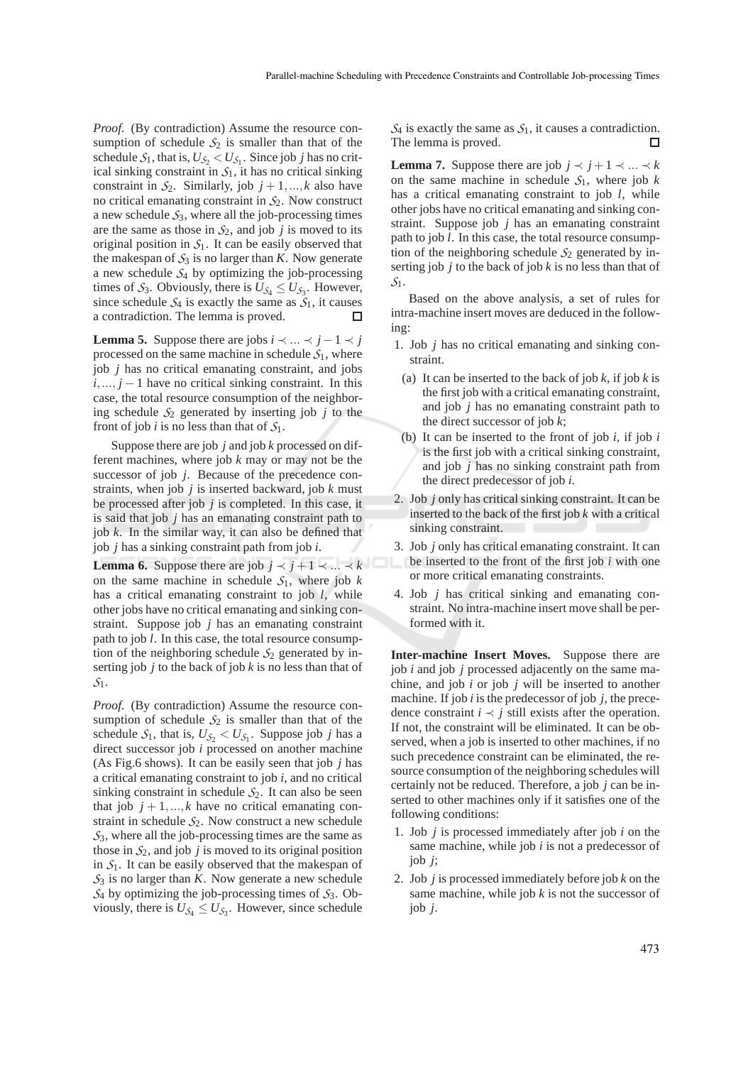*Proof.* (By contradiction) Assume the resource consumption of schedule  $S_2$  is smaller than that of the schedule  $S_1$ , that is,  $U_{S_2} < U_{S_1}$ . Since job *j* has no critical sinking constraint in  $S_1$ , it has no critical sinking constraint in  $S_2$ . Similarly, job  $j + 1, ..., k$  also have no critical emanating constraint in *S*2. Now construct a new schedule  $S_3$ , where all the job-processing times are the same as those in  $S_2$ , and job *j* is moved to its original position in  $S<sub>1</sub>$ . It can be easily observed that the makespan of  $S_3$  is no larger than *K*. Now generate a new schedule *S*<sup>4</sup> by optimizing the job-processing times of  $S_3$ . Obviously, there is  $U_{S_4} \leq U_{S_3}$ . However, since schedule  $S_4$  is exactly the same as  $S_1$ , it causes a contradiction. The lemma is proved.  $\Box$ 

**Lemma 5.** Suppose there are jobs  $i \prec ... \prec j-1 \prec j$ processed on the same machine in schedule  $S_1$ , where job *j* has no critical emanating constraint, and jobs  $i, \ldots, j - 1$  have no critical sinking constraint. In this case, the total resource consumption of the neighboring schedule  $S_2$  generated by inserting job *j* to the front of job *i* is no less than that of  $S_1$ .

Suppose there are job *j* and job *k* processed on different machines, where job *k* may or may not be the successor of job *j*. Because of the precedence constraints, when job *j* is inserted backward, job *k* must be processed after job *j* is completed. In this case, it is said that job *j* has an emanating constraint path to job *k*. In the similar way, it can also be defined that job *j* has a sinking constraint path from job *i*.

**Lemma 6.** Suppose there are job  $j \prec j+1 \prec ... \prec k$ on the same machine in schedule  $S_1$ , where job  $k$ has a critical emanating constraint to job *l*, while other jobs have no critical emanating and sinking constraint. Suppose job *j* has an emanating constraint path to job *l*. In this case, the total resource consumption of the neighboring schedule  $S_2$  generated by inserting job *j* to the back of job *k* is no less than that of *S*1.

*Proof.* (By contradiction) Assume the resource consumption of schedule  $S_2$  is smaller than that of the schedule  $S_1$ , that is,  $U_{S_2} < U_{S_1}$ . Suppose job *j* has a direct successor job *i* processed on another machine (As Fig.6 shows). It can be easily seen that job *j* has a critical emanating constraint to job *i*, and no critical sinking constraint in schedule  $S_2$ . It can also be seen that job  $j + 1, ..., k$  have no critical emanating constraint in schedule  $S_2$ . Now construct a new schedule *S*3, where all the job-processing times are the same as those in  $S_2$ , and job *j* is moved to its original position in  $S<sub>1</sub>$ . It can be easily observed that the makespan of  $S_3$  is no larger than *K*. Now generate a new schedule  $S_4$  by optimizing the job-processing times of  $S_3$ . Obviously, there is  $U_{\mathcal{S}_4} \leq U_{\mathcal{S}_3}$ . However, since schedule

 $S_4$  is exactly the same as  $S_1$ , it causes a contradiction. The lemma is proved.  $\Box$ 

**Lemma 7.** Suppose there are job  $j \prec j+1 \prec ... \prec k$ on the same machine in schedule  $S_1$ , where job  $k$ has a critical emanating constraint to job *l*, while other jobs have no critical emanating and sinking constraint. Suppose job *j* has an emanating constraint path to job *l*. In this case, the total resource consumption of the neighboring schedule  $S_2$  generated by inserting job *j* to the back of job *k* is no less than that of *S*1.

Based on the above analysis, a set of rules for intra-machine insert moves are deduced in the following:

- 1. Job *j* has no critical emanating and sinking constraint.
	- (a) It can be inserted to the back of job *k*, if job *k* is the first job with a critical emanating constraint, and job *j* has no emanating constraint path to the direct successor of job *k*;
	- (b) It can be inserted to the front of job *i*, if job *i* is the first job with a critical sinking constraint, and job *j* has no sinking constraint path from the direct predecessor of job *i*.
- 2. Job *j* only has critical sinking constraint. It can be inserted to the back of the first job *k* with a critical sinking constraint.
- 3. Job *j* only has critical emanating constraint. It can be inserted to the front of the first job *i* with one or more critical emanating constraints.
- 4. Job *j* has critical sinking and emanating constraint. No intra-machine insert move shall be performed with it.

**Inter-machine Insert Moves.** Suppose there are job *i* and job *j* processed adjacently on the same machine, and job *i* or job *j* will be inserted to another machine. If job *i* is the predecessor of job *j*, the precedence constraint  $i \prec j$  still exists after the operation. If not, the constraint will be eliminated. It can be observed, when a job is inserted to other machines, if no such precedence constraint can be eliminated, the resource consumption of the neighboring schedules will certainly not be reduced. Therefore, a job *j* can be inserted to other machines only if it satisfies one of the following conditions:

- 1. Job *j* is processed immediately after job *i* on the same machine, while job *i* is not a predecessor of job *j*;
- 2. Job *j* is processed immediately before job *k* on the same machine, while job *k* is not the successor of job *j*.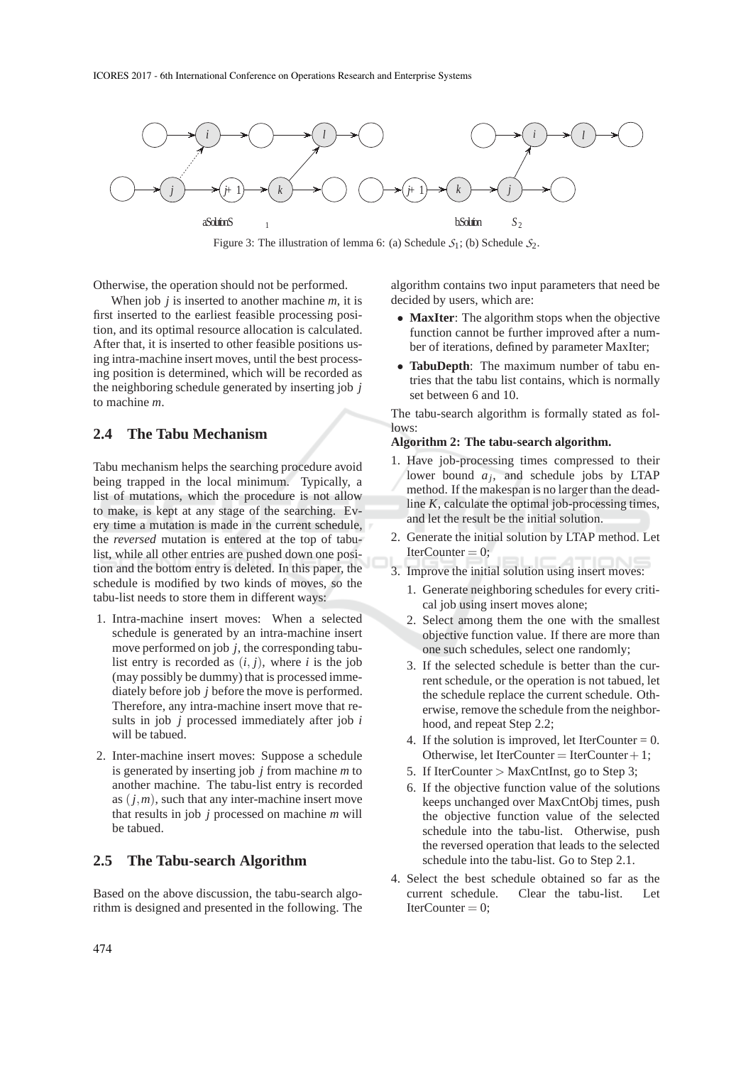

Figure 3: The illustration of lemma 6: (a) Schedule  $S_1$ ; (b) Schedule  $S_2$ .

Otherwise, the operation should not be performed.

When job *j* is inserted to another machine *m*, it is first inserted to the earliest feasible processing position, and its optimal resource allocation is calculated. After that, it is inserted to other feasible positions using intra-machine insert moves, until the best processing position is determined, which will be recorded as the neighboring schedule generated by inserting job *j* to machine *m*.

## **2.4 The Tabu Mechanism**

Tabu mechanism helps the searching procedure avoid being trapped in the local minimum. Typically, a list of mutations, which the procedure is not allow to make, is kept at any stage of the searching. Every time a mutation is made in the current schedule, the *reversed* mutation is entered at the top of tabulist, while all other entries are pushed down one position and the bottom entry is deleted. In this paper, the schedule is modified by two kinds of moves, so the tabu-list needs to store them in different ways:

- 1. Intra-machine insert moves: When a selected schedule is generated by an intra-machine insert move performed on job *j*, the corresponding tabulist entry is recorded as  $(i, j)$ , where *i* is the job (may possibly be dummy) that is processed immediately before job *j* before the move is performed. Therefore, any intra-machine insert move that results in job *j* processed immediately after job *i* will be tabued.
- 2. Inter-machine insert moves: Suppose a schedule is generated by inserting job *j* from machine *m* to another machine. The tabu-list entry is recorded as  $(j, m)$ , such that any inter-machine insert move that results in job *j* processed on machine *m* will be tabued.

## **2.5 The Tabu-search Algorithm**

Based on the above discussion, the tabu-search algorithm is designed and presented in the following. The algorithm contains two input parameters that need be decided by users, which are:

- **MaxIter**: The algorithm stops when the objective function cannot be further improved after a number of iterations, defined by parameter MaxIter;
- **TabuDepth**: The maximum number of tabu entries that the tabu list contains, which is normally set between 6 and 10.

The tabu-search algorithm is formally stated as follows:

#### **Algorithm 2: The tabu-search algorithm.**

- 1. Have job-processing times compressed to their lower bound  $a_j$ , and schedule jobs by LTAP method. If the makespan is no larger than the deadline *K*, calculate the optimal job-processing times, and let the result be the initial solution.
- 2. Generate the initial solution by LTAP method. Let  $IterCounter = 0$ :
- 3. Improve the initial solution using insert moves:
	- 1. Generate neighboring schedules for every critical job using insert moves alone;
	- 2. Select among them the one with the smallest objective function value. If there are more than one such schedules, select one randomly;
	- 3. If the selected schedule is better than the current schedule, or the operation is not tabued, let the schedule replace the current schedule. Otherwise, remove the schedule from the neighborhood, and repeat Step 2.2;
	- 4. If the solution is improved, let IterCounter  $= 0$ . Otherwise, let IterCounter = IterCounter + 1;
	- 5. If IterCounter > MaxCntInst, go to Step 3;
	- 6. If the objective function value of the solutions keeps unchanged over MaxCntObj times, push the objective function value of the selected schedule into the tabu-list. Otherwise, push the reversed operation that leads to the selected schedule into the tabu-list. Go to Step 2.1.
- 4. Select the best schedule obtained so far as the current schedule. Clear the tabu-list. Let  $IterCounter = 0$ :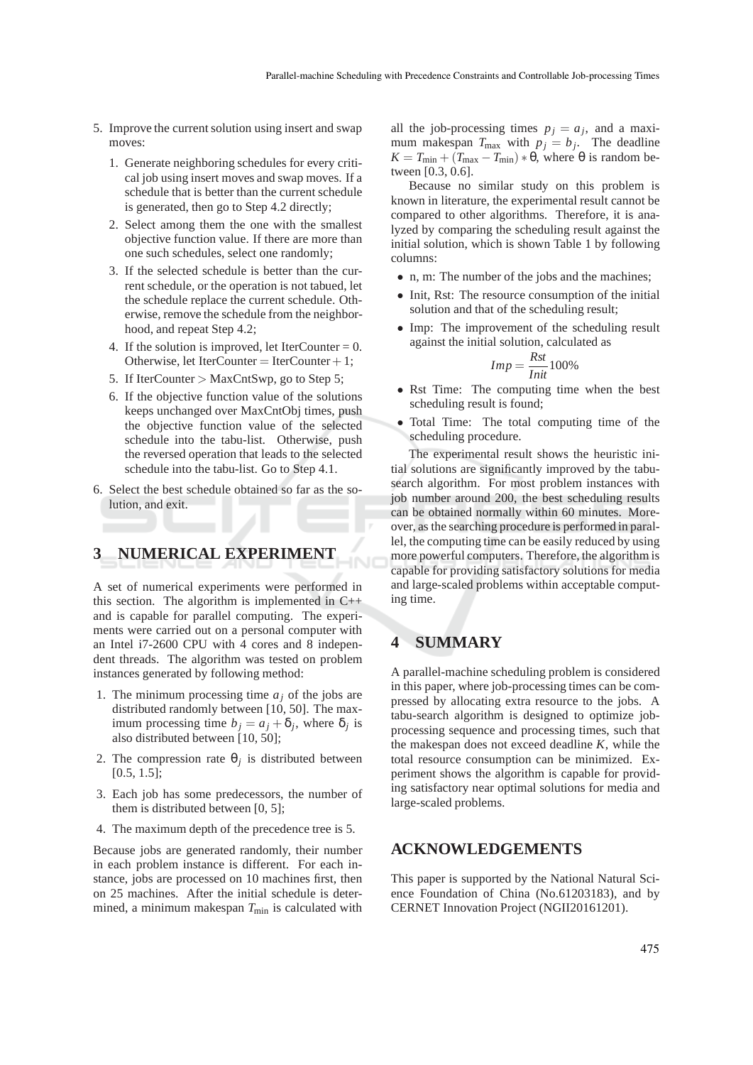- 5. Improve the current solution using insert and swap moves:
	- 1. Generate neighboring schedules for every critical job using insert moves and swap moves. If a schedule that is better than the current schedule is generated, then go to Step 4.2 directly;
	- 2. Select among them the one with the smallest objective function value. If there are more than one such schedules, select one randomly;
	- 3. If the selected schedule is better than the current schedule, or the operation is not tabued, let the schedule replace the current schedule. Otherwise, remove the schedule from the neighborhood, and repeat Step 4.2;
	- 4. If the solution is improved, let IterCounter  $= 0$ . Otherwise, let IterCounter = IterCounter + 1;
	- 5. If IterCounter > MaxCntSwp, go to Step 5;
	- 6. If the objective function value of the solutions keeps unchanged over MaxCntObj times, push the objective function value of the selected schedule into the tabu-list. Otherwise, push the reversed operation that leads to the selected schedule into the tabu-list. Go to Step 4.1.
- 6. Select the best schedule obtained so far as the solution, and exit.

# **3 NUMERICAL EXPERIMENT**

A set of numerical experiments were performed in this section. The algorithm is implemented in C++ and is capable for parallel computing. The experiments were carried out on a personal computer with an Intel i7-2600 CPU with 4 cores and 8 independent threads. The algorithm was tested on problem instances generated by following method:

- 1. The minimum processing time *a<sup>j</sup>* of the jobs are distributed randomly between [10, 50]. The maximum processing time  $b_j = a_j + \delta_j$ , where  $\delta_j$  is also distributed between [10, 50];
- 2. The compression rate  $\theta_j$  is distributed between [0.5, 1.5];
- 3. Each job has some predecessors, the number of them is distributed between [0, 5];
- 4. The maximum depth of the precedence tree is 5.

Because jobs are generated randomly, their number in each problem instance is different. For each instance, jobs are processed on 10 machines first, then on 25 machines. After the initial schedule is determined, a minimum makespan  $T_{\text{min}}$  is calculated with all the job-processing times  $p_j = a_j$ , and a maximum makespan  $T_{\text{max}}$  with  $p_j = b_j$ . The deadline  $K = T_{\text{min}} + (T_{\text{max}} - T_{\text{min}}) * \theta$ , where  $\theta$  is random between [0.3, 0.6].

Because no similar study on this problem is known in literature, the experimental result cannot be compared to other algorithms. Therefore, it is analyzed by comparing the scheduling result against the initial solution, which is shown Table 1 by following columns:

- n, m: The number of the jobs and the machines;
- Init, Rst: The resource consumption of the initial solution and that of the scheduling result;
- Imp: The improvement of the scheduling result against the initial solution, calculated as

$$
Imp = \frac{Rst}{Init} 100\%
$$

- Rst Time: The computing time when the best scheduling result is found;
- Total Time: The total computing time of the scheduling procedure.

The experimental result shows the heuristic initial solutions are significantly improved by the tabusearch algorithm. For most problem instances with job number around 200, the best scheduling results can be obtained normally within 60 minutes. Moreover, as the searching procedure is performed in parallel, the computing time can be easily reduced by using more powerful computers. Therefore, the algorithm is capable for providing satisfactory solutions for media and large-scaled problems within acceptable computing time.

# **4 SUMMARY**

A parallel-machine scheduling problem is considered in this paper, where job-processing times can be compressed by allocating extra resource to the jobs. A tabu-search algorithm is designed to optimize jobprocessing sequence and processing times, such that the makespan does not exceed deadline *K*, while the total resource consumption can be minimized. Experiment shows the algorithm is capable for providing satisfactory near optimal solutions for media and large-scaled problems.

## **ACKNOWLEDGEMENTS**

This paper is supported by the National Natural Science Foundation of China (No.61203183), and by CERNET Innovation Project (NGII20161201).